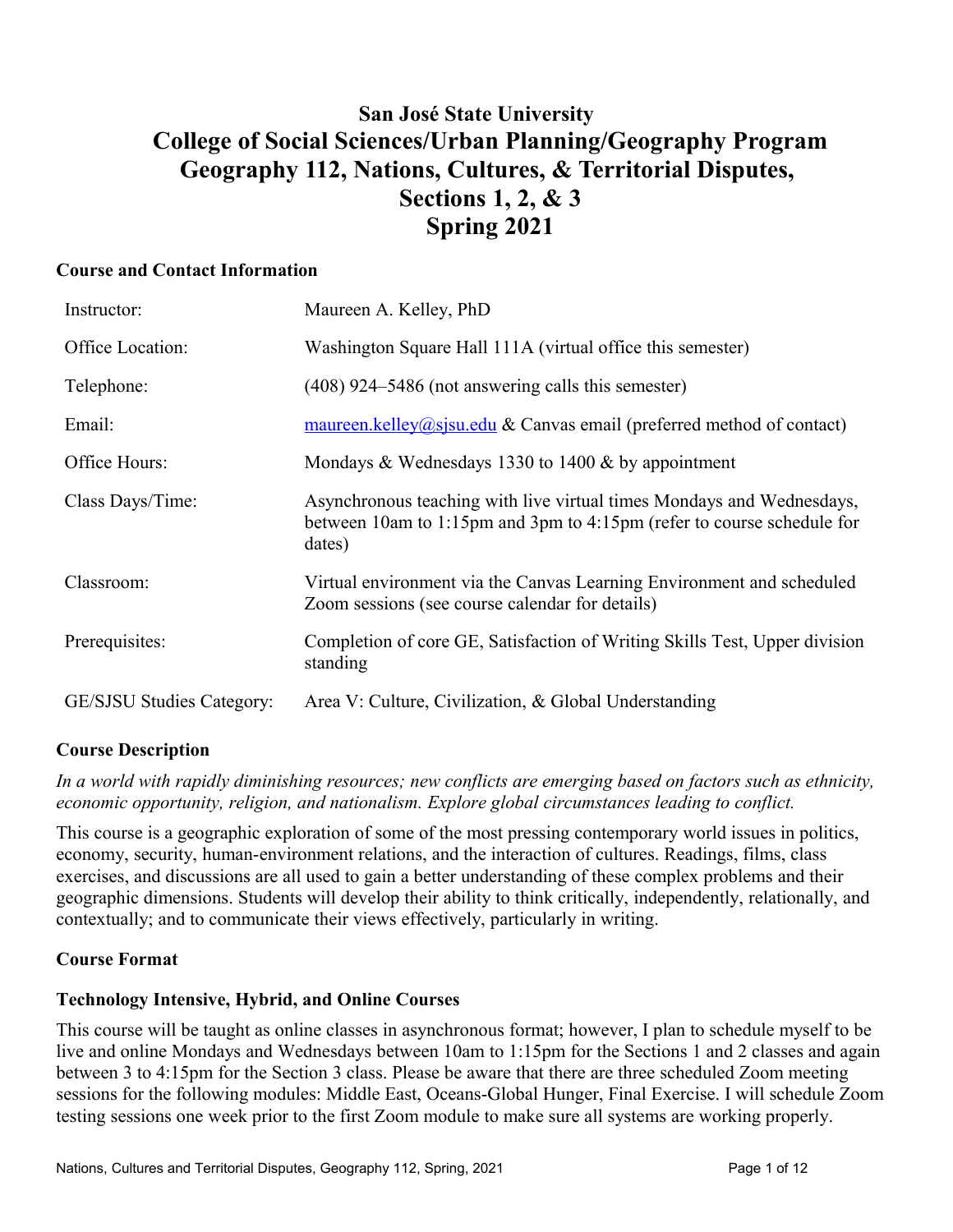# **San José State University College of Social Sciences/Urban Planning/Geography Program Geography 112, Nations, Cultures, & Territorial Disputes, Sections 1, 2, & 3 Spring 2021**

## **Course and Contact Information**

| Instructor:                      | Maureen A. Kelley, PhD                                                                                                                                    |
|----------------------------------|-----------------------------------------------------------------------------------------------------------------------------------------------------------|
| Office Location:                 | Washington Square Hall 111A (virtual office this semester)                                                                                                |
| Telephone:                       | $(408)$ 924–5486 (not answering calls this semester)                                                                                                      |
| Email:                           | $\frac{\text{maureen.} \text{kelley}(a) \text{sisu.edu}}{\text{d}x \text{ can}}$ & Canvas email (preferred method of contact)                             |
| Office Hours:                    | Mondays & Wednesdays 1330 to 1400 $\&$ by appointment                                                                                                     |
| Class Days/Time:                 | Asynchronous teaching with live virtual times Mondays and Wednesdays,<br>between 10am to 1:15pm and 3pm to 4:15pm (refer to course schedule for<br>dates) |
| Classroom:                       | Virtual environment via the Canvas Learning Environment and scheduled<br>Zoom sessions (see course calendar for details)                                  |
| Prerequisites:                   | Completion of core GE, Satisfaction of Writing Skills Test, Upper division<br>standing                                                                    |
| <b>GE/SJSU Studies Category:</b> | Area V: Culture, Civilization, & Global Understanding                                                                                                     |
|                                  |                                                                                                                                                           |

# **Course Description**

# *In a world with rapidly diminishing resources; new conflicts are emerging based on factors such as ethnicity, economic opportunity, religion, and nationalism. Explore global circumstances leading to conflict.*

This course is a geographic exploration of some of the most pressing contemporary world issues in politics, economy, security, human-environment relations, and the interaction of cultures. Readings, films, class exercises, and discussions are all used to gain a better understanding of these complex problems and their geographic dimensions. Students will develop their ability to think critically, independently, relationally, and contextually; and to communicate their views effectively, particularly in writing.

# **Course Format**

# **Technology Intensive, Hybrid, and Online Courses**

This course will be taught as online classes in asynchronous format; however, I plan to schedule myself to be live and online Mondays and Wednesdays between 10am to 1:15pm for the Sections 1 and 2 classes and again between 3 to 4:15pm for the Section 3 class. Please be aware that there are three scheduled Zoom meeting sessions for the following modules: Middle East, Oceans-Global Hunger, Final Exercise. I will schedule Zoom testing sessions one week prior to the first Zoom module to make sure all systems are working properly.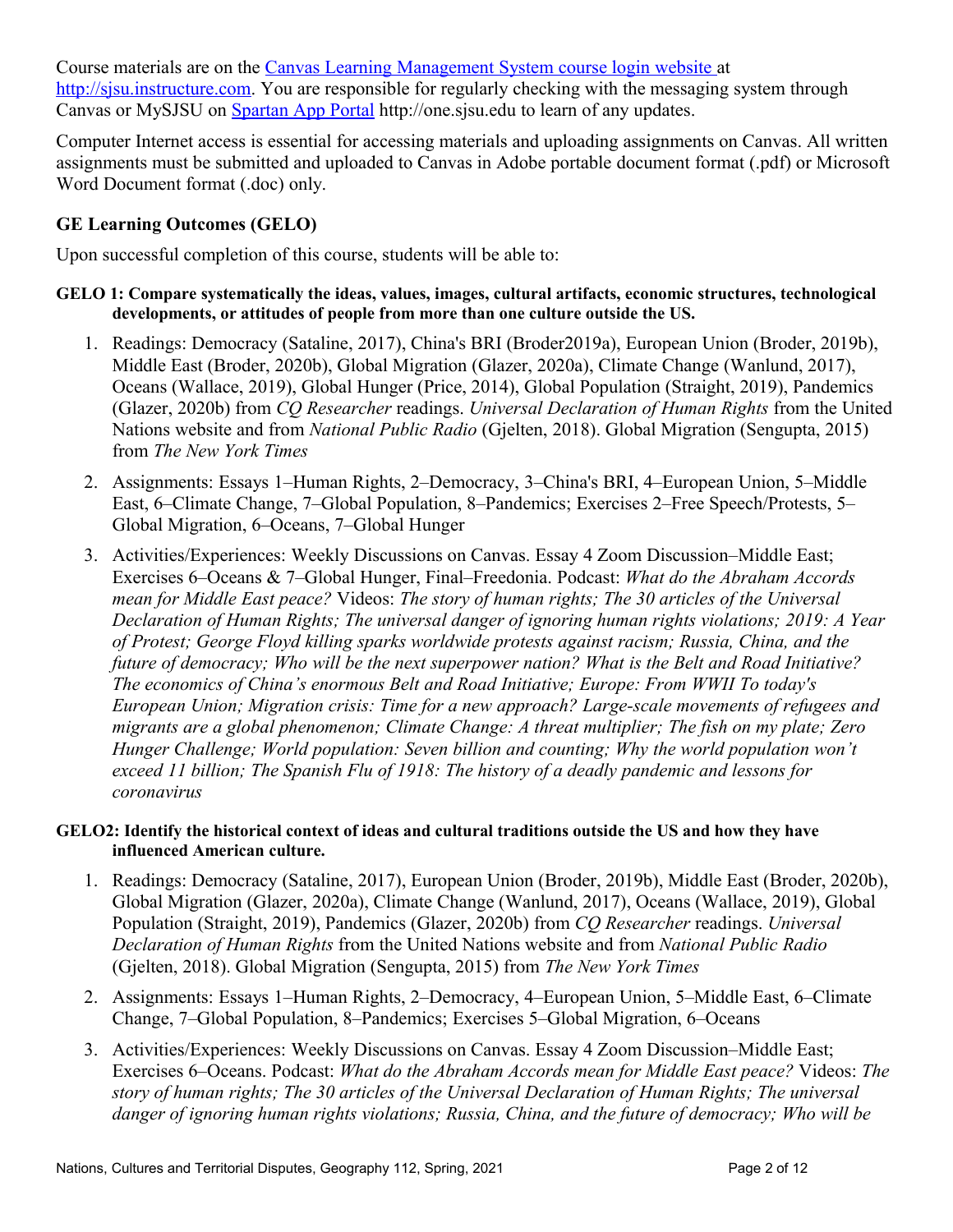Course materials are on the [Canvas Learning Management System course login website a](https://sjsu.instructure.com/)t [http://sjsu.instructure.com.](http://sjsu.instructure.com/) You are responsible for regularly checking with the messaging system through Canvas or MySJSU on **Spartan App Portal** http://one.sjsu.edu to learn of any updates.

Computer Internet access is essential for accessing materials and uploading assignments on Canvas. All written assignments must be submitted and uploaded to Canvas in Adobe portable document format (.pdf) or Microsoft Word Document format (.doc) only.

# **GE Learning Outcomes (GELO)**

Upon successful completion of this course, students will be able to:

#### **GELO 1: Compare systematically the ideas, values, images, cultural artifacts, economic structures, technological developments, or attitudes of people from more than one culture outside the US.**

- 1. Readings: Democracy (Sataline, 2017), China's BRI (Broder2019a), European Union (Broder, 2019b), Middle East (Broder, 2020b), Global Migration (Glazer, 2020a), Climate Change (Wanlund, 2017), Oceans (Wallace, 2019), Global Hunger (Price, 2014), Global Population (Straight, 2019), Pandemics (Glazer, 2020b) from *CQ Researcher* readings. *Universal Declaration of Human Rights* from the United Nations website and from *National Public Radio* (Gjelten, 2018). Global Migration (Sengupta, 2015) from *The New York Times*
- 2. Assignments: Essays 1–Human Rights, 2–Democracy, 3–China's BRI, 4–European Union, 5–Middle East, 6–Climate Change, 7–Global Population, 8–Pandemics; Exercises 2–Free Speech/Protests, 5– Global Migration, 6‒Oceans, 7‒Global Hunger
- 3. Activities/Experiences: Weekly Discussions on Canvas. Essay 4 Zoom Discussion–Middle East; Exercises 6‒Oceans & 7‒Global Hunger, Final‒Freedonia. Podcast: *What do the Abraham Accords mean for Middle East peace?* Videos: *The story of human rights; The 30 articles of the Universal Declaration of Human Rights; The universal danger of ignoring human rights violations; 2019: A Year of Protest; George Floyd killing sparks worldwide protests against racism; Russia, China, and the future of democracy; Who will be the next superpower nation? What is the Belt and Road Initiative? The economics of China's enormous Belt and Road Initiative; Europe: From WWII To today's European Union; Migration crisis: Time for a new approach? Large-scale movements of refugees and migrants are a global phenomenon; Climate Change: A threat multiplier; The fish on my plate; Zero Hunger Challenge; World population: Seven billion and counting; Why the world population won't exceed 11 billion; The Spanish Flu of 1918: The history of a deadly pandemic and lessons for coronavirus*

## **GELO2: Identify the historical context of ideas and cultural traditions outside the US and how they have influenced American culture.**

- 1. Readings: Democracy (Sataline, 2017), European Union (Broder, 2019b), Middle East (Broder, 2020b), Global Migration (Glazer, 2020a), Climate Change (Wanlund, 2017), Oceans (Wallace, 2019), Global Population (Straight, 2019), Pandemics (Glazer, 2020b) from *CQ Researcher* readings. *Universal Declaration of Human Rights* from the United Nations website and from *National Public Radio*  (Gjelten, 2018). Global Migration (Sengupta, 2015) from *The New York Times*
- 2. Assignments: Essays 1–Human Rights, 2–Democracy, 4–European Union, 5–Middle East, 6–Climate Change, 7–Global Population, 8–Pandemics; Exercises 5–Global Migration, 6–Oceans
- 3. Activities/Experiences: Weekly Discussions on Canvas. Essay 4 Zoom Discussion–Middle East; Exercises 6‒Oceans. Podcast: *What do the Abraham Accords mean for Middle East peace?* Videos: *The story of human rights; The 30 articles of the Universal Declaration of Human Rights; The universal danger of ignoring human rights violations; Russia, China, and the future of democracy; Who will be*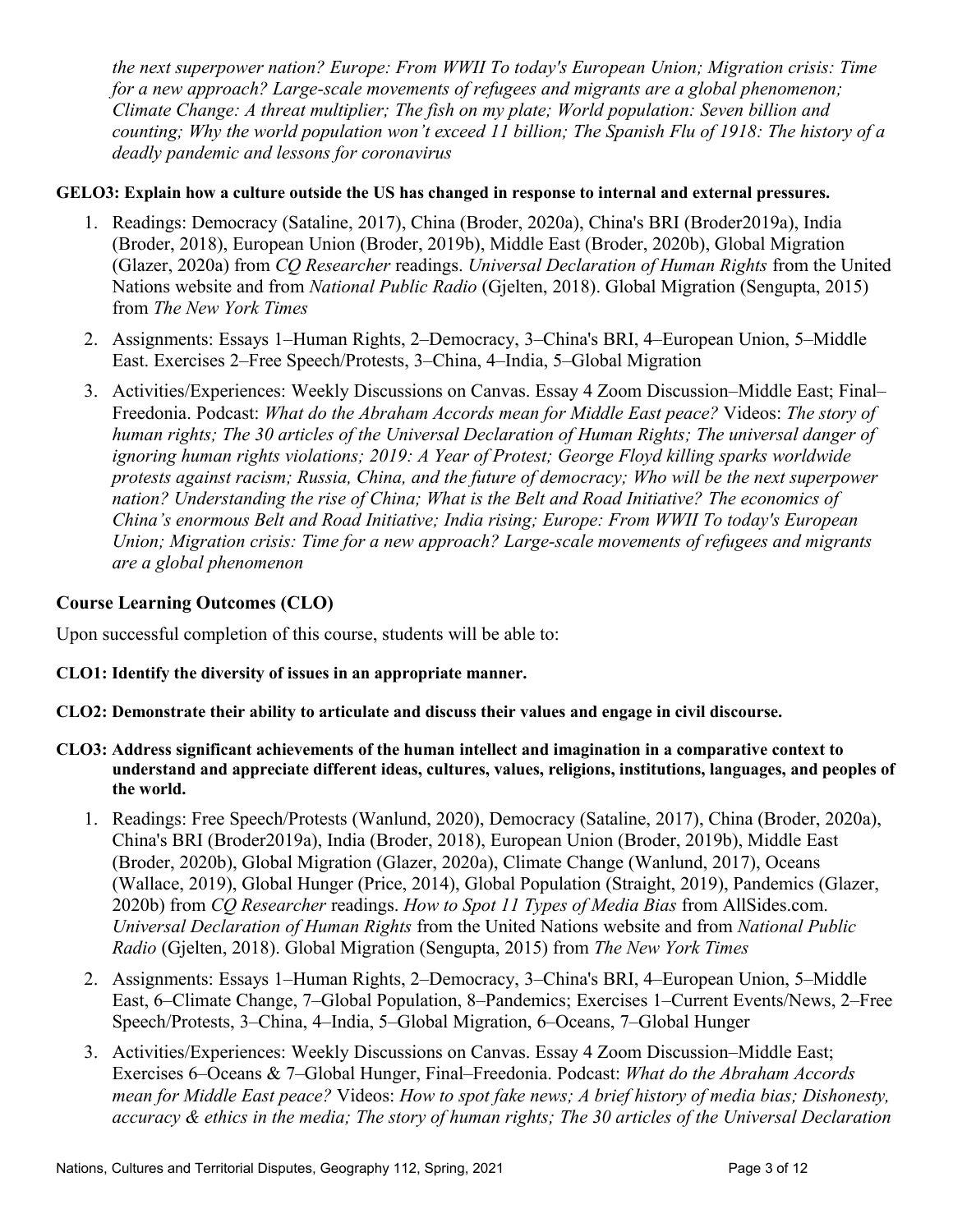*the next superpower nation? Europe: From WWII To today's European Union; Migration crisis: Time for a new approach? Large-scale movements of refugees and migrants are a global phenomenon; Climate Change: A threat multiplier; The fish on my plate; World population: Seven billion and counting; Why the world population won't exceed 11 billion; The Spanish Flu of 1918: The history of a deadly pandemic and lessons for coronavirus*

#### **GELO3: Explain how a culture outside the US has changed in response to internal and external pressures.**

- 1. Readings: Democracy (Sataline, 2017), China (Broder, 2020a), China's BRI (Broder2019a), India (Broder, 2018), European Union (Broder, 2019b), Middle East (Broder, 2020b), Global Migration (Glazer, 2020a) from *CQ Researcher* readings. *Universal Declaration of Human Rights* from the United Nations website and from *National Public Radio* (Gjelten, 2018). Global Migration (Sengupta, 2015) from *The New York Times*
- 2. Assignments: Essays 1–Human Rights, 2–Democracy, 3–China's BRI, 4–European Union, 5–Middle East. Exercises 2‒Free Speech/Protests, 3‒China, 4‒India, 5‒Global Migration
- 3. Activities/Experiences: Weekly Discussions on Canvas. Essay 4 Zoom Discussion–Middle East; Final– Freedonia. Podcast: *What do the Abraham Accords mean for Middle East peace?* Videos: *The story of human rights; The 30 articles of the Universal Declaration of Human Rights; The universal danger of ignoring human rights violations; 2019: A Year of Protest; George Floyd killing sparks worldwide protests against racism; Russia, China, and the future of democracy; Who will be the next superpower nation? Understanding the rise of China; What is the Belt and Road Initiative? The economics of China's enormous Belt and Road Initiative; India rising; Europe: From WWII To today's European Union; Migration crisis: Time for a new approach? Large-scale movements of refugees and migrants are a global phenomenon*

# **Course Learning Outcomes (CLO)**

Upon successful completion of this course, students will be able to:

## **CLO1: Identify the diversity of issues in an appropriate manner.**

- **CLO2: Demonstrate their ability to articulate and discuss their values and engage in civil discourse.**
- **CLO3: Address significant achievements of the human intellect and imagination in a comparative context to understand and appreciate different ideas, cultures, values, religions, institutions, languages, and peoples of the world.**
	- 1. Readings: Free Speech/Protests (Wanlund, 2020), Democracy (Sataline, 2017), China (Broder, 2020a), China's BRI (Broder2019a), India (Broder, 2018), European Union (Broder, 2019b), Middle East (Broder, 2020b), Global Migration (Glazer, 2020a), Climate Change (Wanlund, 2017), Oceans (Wallace, 2019), Global Hunger (Price, 2014), Global Population (Straight, 2019), Pandemics (Glazer, 2020b) from *CQ Researcher* readings. *How to Spot 11 Types of Media Bias* from AllSides.com. *Universal Declaration of Human Rights* from the United Nations website and from *National Public Radio* (Gjelten, 2018). Global Migration (Sengupta, 2015) from *The New York Times*
	- 2. Assignments: Essays 1–Human Rights, 2–Democracy, 3–China's BRI, 4–European Union, 5–Middle East, 6–Climate Change, 7–Global Population, 8–Pandemics; Exercises 1–Current Events/News, 2–Free Speech/Protests, 3‒China, 4‒India, 5‒Global Migration, 6‒Oceans, 7‒Global Hunger
	- 3. Activities/Experiences: Weekly Discussions on Canvas. Essay 4 Zoom Discussion–Middle East; Exercises 6‒Oceans & 7‒Global Hunger, Final‒Freedonia. Podcast: *What do the Abraham Accords mean for Middle East peace?* Videos: *How to spot fake news; A brief history of media bias; Dishonesty, accuracy & ethics in the media; The story of human rights; The 30 articles of the Universal Declaration*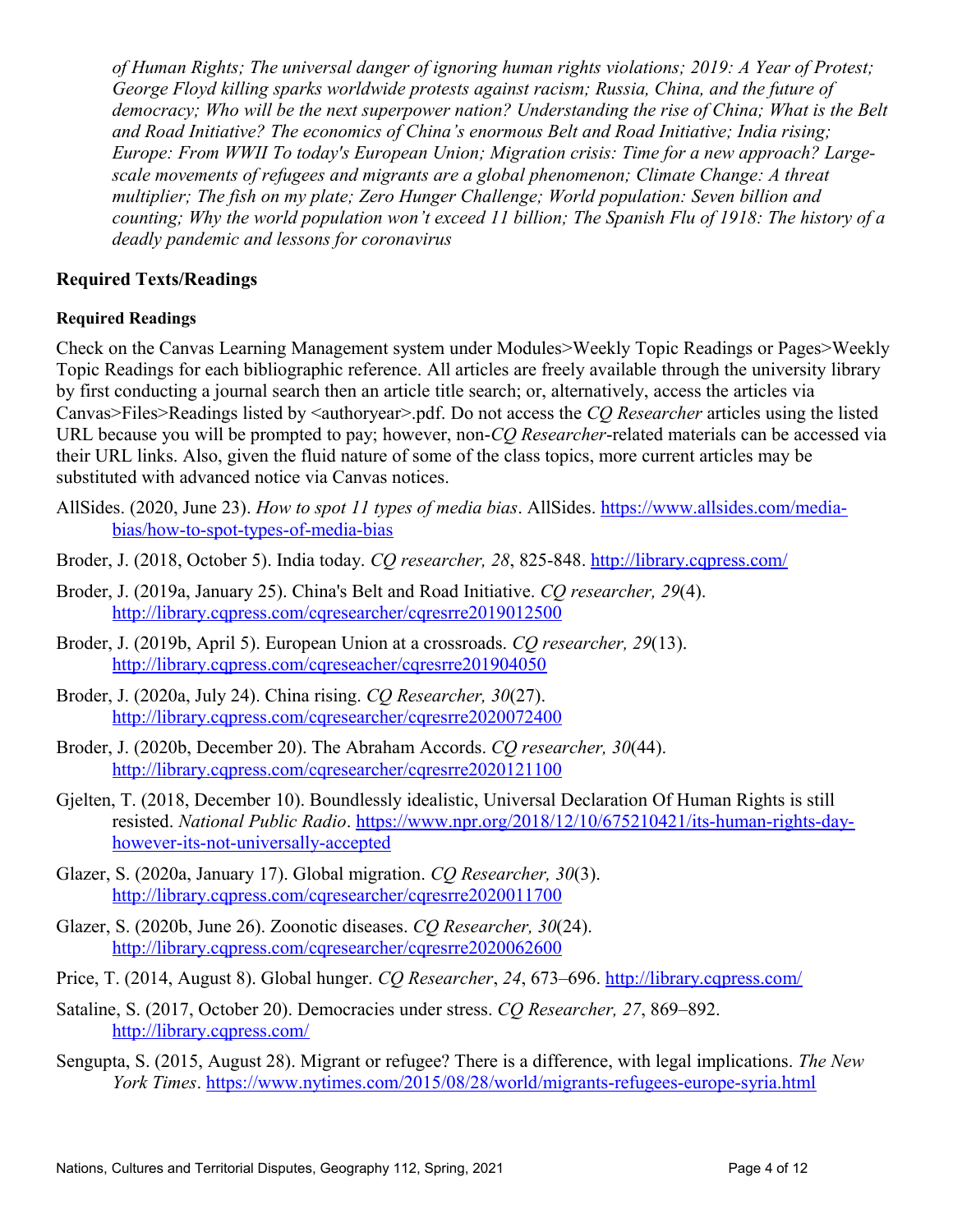*of Human Rights; The universal danger of ignoring human rights violations; 2019: A Year of Protest; George Floyd killing sparks worldwide protests against racism; Russia, China, and the future of democracy; Who will be the next superpower nation? Understanding the rise of China; What is the Belt and Road Initiative? The economics of China's enormous Belt and Road Initiative; India rising; Europe: From WWII To today's European Union; Migration crisis: Time for a new approach? Largescale movements of refugees and migrants are a global phenomenon; Climate Change: A threat multiplier; The fish on my plate; Zero Hunger Challenge; World population: Seven billion and counting; Why the world population won't exceed 11 billion; The Spanish Flu of 1918: The history of a deadly pandemic and lessons for coronavirus*

# **Required Texts/Readings**

## **Required Readings**

Check on the Canvas Learning Management system under Modules>Weekly Topic Readings or Pages>Weekly Topic Readings for each bibliographic reference. All articles are freely available through the university library by first conducting a journal search then an article title search; or, alternatively, access the articles via Canvas>Files>Readings listed by <authoryear>.pdf. Do not access the *CQ Researcher* articles using the listed URL because you will be prompted to pay; however, non-*CQ Researcher*-related materials can be accessed via their URL links. Also, given the fluid nature of some of the class topics, more current articles may be substituted with advanced notice via Canvas notices.

- AllSides. (2020, June 23). *How to spot 11 types of media bias*. AllSides. [https://www.allsides.com/media](https://www.allsides.com/media-bias/how-to-spot-types-of-media-bias)[bias/how-to-spot-types-of-media-bias](https://www.allsides.com/media-bias/how-to-spot-types-of-media-bias)
- Broder, J. (2018, October 5). India today. *CQ researcher, 28*, 825-848. http://library.cqpress.com/
- Broder, J. (2019a, January 25). China's Belt and Road Initiative. *CQ researcher, 29*(4). <http://library.cqpress.com/cqresearcher/cqresrre2019012500>
- Broder, J. (2019b, April 5). European Union at a crossroads. *CQ researcher, 29*(13). [http://library.cqpress.com/cqreseacher/cqresrre201904050](http://library.cqpress.com/cqreseacher/cqresrre2019040500)
- Broder, J. (2020a, July 24). China rising. *CQ Researcher, 30*(27). <http://library.cqpress.com/cqresearcher/cqresrre2020072400>
- Broder, J. (2020b, December 20). The Abraham Accords. *CQ researcher, 30*(44). <http://library.cqpress.com/cqresearcher/cqresrre2020121100>
- Gjelten, T. (2018, December 10). Boundlessly idealistic, Universal Declaration Of Human Rights is still resisted. *National Public Radio*. [https://www.npr.org/2018/12/10/675210421/its-human-rights-day](https://www.npr.org/2018/12/10/675210421/its-human-rights-day-however-its-not-universally-accepted)[however-its-not-universally-accepted](https://www.npr.org/2018/12/10/675210421/its-human-rights-day-however-its-not-universally-accepted)
- Glazer, S. (2020a, January 17). Global migration. *CQ Researcher, 30*(3). <http://library.cqpress.com/cqresearcher/cqresrre2020011700>
- Glazer, S. (2020b, June 26). Zoonotic diseases. *CQ Researcher, 30*(24). <http://library.cqpress.com/cqresearcher/cqresrre2020062600>
- Price, T. (2014, August 8). Global hunger. *CO Researcher*, 24, 673–696. http://library.cqpress.com/
- Sataline, S. (2017, October 20). Democracies under stress. *CQ Researcher, 27*, 869–892. http://library.cqpress.com/
- Sengupta, S. (2015, August 28). Migrant or refugee? There is a difference, with legal implications. *The New York Times*.<https://www.nytimes.com/2015/08/28/world/migrants-refugees-europe-syria.html>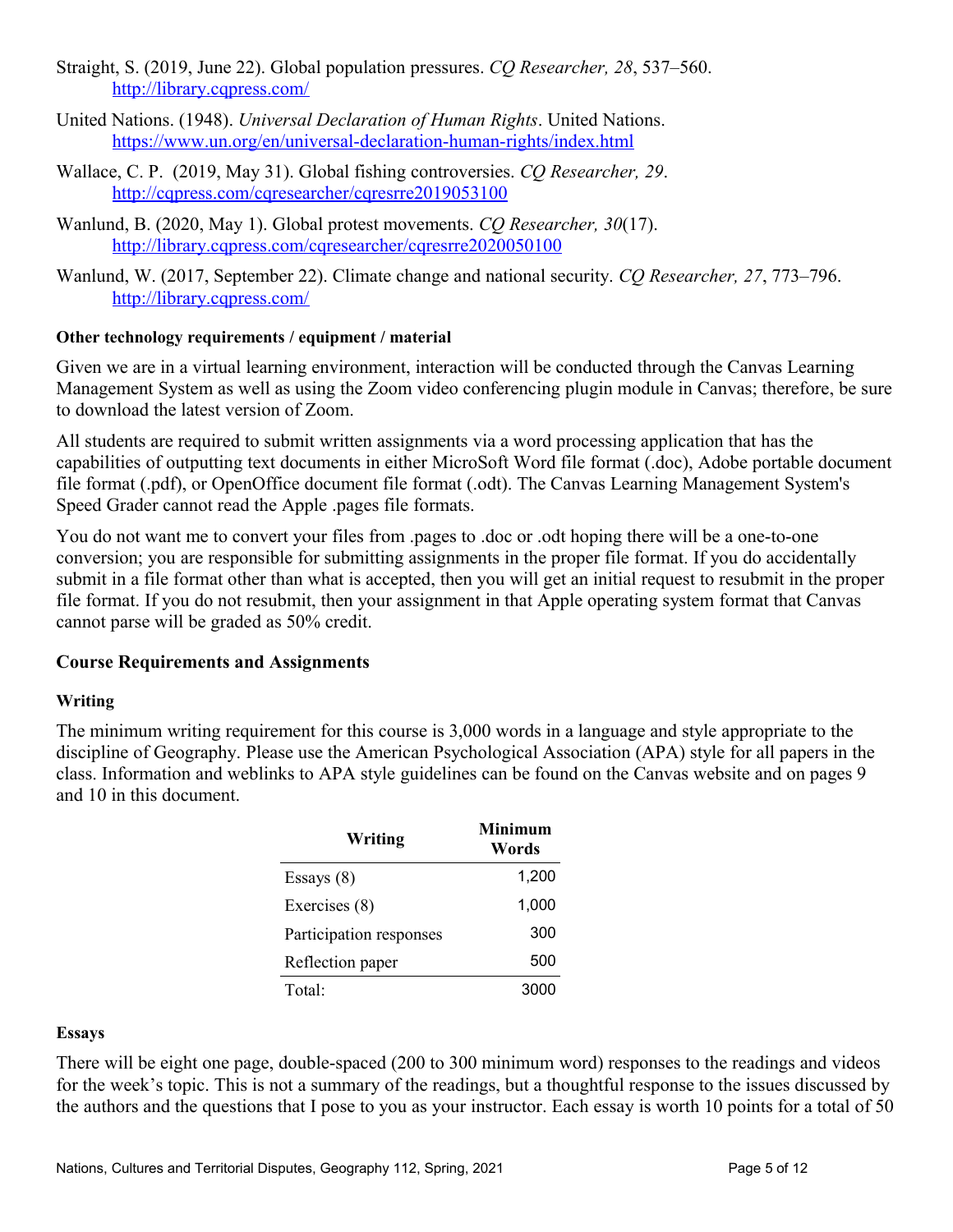- Straight, S. (2019, June 22). Global population pressures. *CQ Researcher*, 28, 537–560. http://library.cqpress.com/
- United Nations. (1948). *Universal Declaration of Human Rights*. United Nations. <https://www.un.org/en/universal-declaration-human-rights/index.html>
- Wallace, C. P. (2019, May 31). Global fishing controversies. *CQ Researcher, 29*. <http://cqpress.com/cqresearcher/cqresrre2019053100>
- Wanlund, B. (2020, May 1). Global protest movements. *CQ Researcher, 30*(17). <http://library.cqpress.com/cqresearcher/cqresrre2020050100>
- Wanlund, W. (2017, September 22). Climate change and national security. *CO Researcher*, 27, 773–796. http://library.cqpress.com/

# **Other technology requirements / equipment / material**

Given we are in a virtual learning environment, interaction will be conducted through the Canvas Learning Management System as well as using the Zoom video conferencing plugin module in Canvas; therefore, be sure to download the latest version of Zoom.

All students are required to submit written assignments via a word processing application that has the capabilities of outputting text documents in either MicroSoft Word file format (.doc), Adobe portable document file format (.pdf), or OpenOffice document file format (.odt). The Canvas Learning Management System's Speed Grader cannot read the Apple .pages file formats.

You do not want me to convert your files from .pages to .doc or .odt hoping there will be a one-to-one conversion; you are responsible for submitting assignments in the proper file format. If you do accidentally submit in a file format other than what is accepted, then you will get an initial request to resubmit in the proper file format. If you do not resubmit, then your assignment in that Apple operating system format that Canvas cannot parse will be graded as 50% credit.

# **Course Requirements and Assignments**

## **Writing**

The minimum writing requirement for this course is 3,000 words in a language and style appropriate to the discipline of Geography. Please use the American Psychological Association (APA) style for all papers in the class. Information and weblinks to APA style guidelines can be found on the Canvas website and on pages 9 and 10 in this document.

| Writing                 | <b>Minimum</b><br>Words |
|-------------------------|-------------------------|
| Essays $(8)$            | 1,200                   |
| Exercises (8)           | 1,000                   |
| Participation responses | 300                     |
| Reflection paper        | 500                     |
| Total:                  | 3000                    |

## **Essays**

There will be eight one page, double-spaced (200 to 300 minimum word) responses to the readings and videos for the week's topic. This is not a summary of the readings, but a thoughtful response to the issues discussed by the authors and the questions that I pose to you as your instructor. Each essay is worth 10 points for a total of 50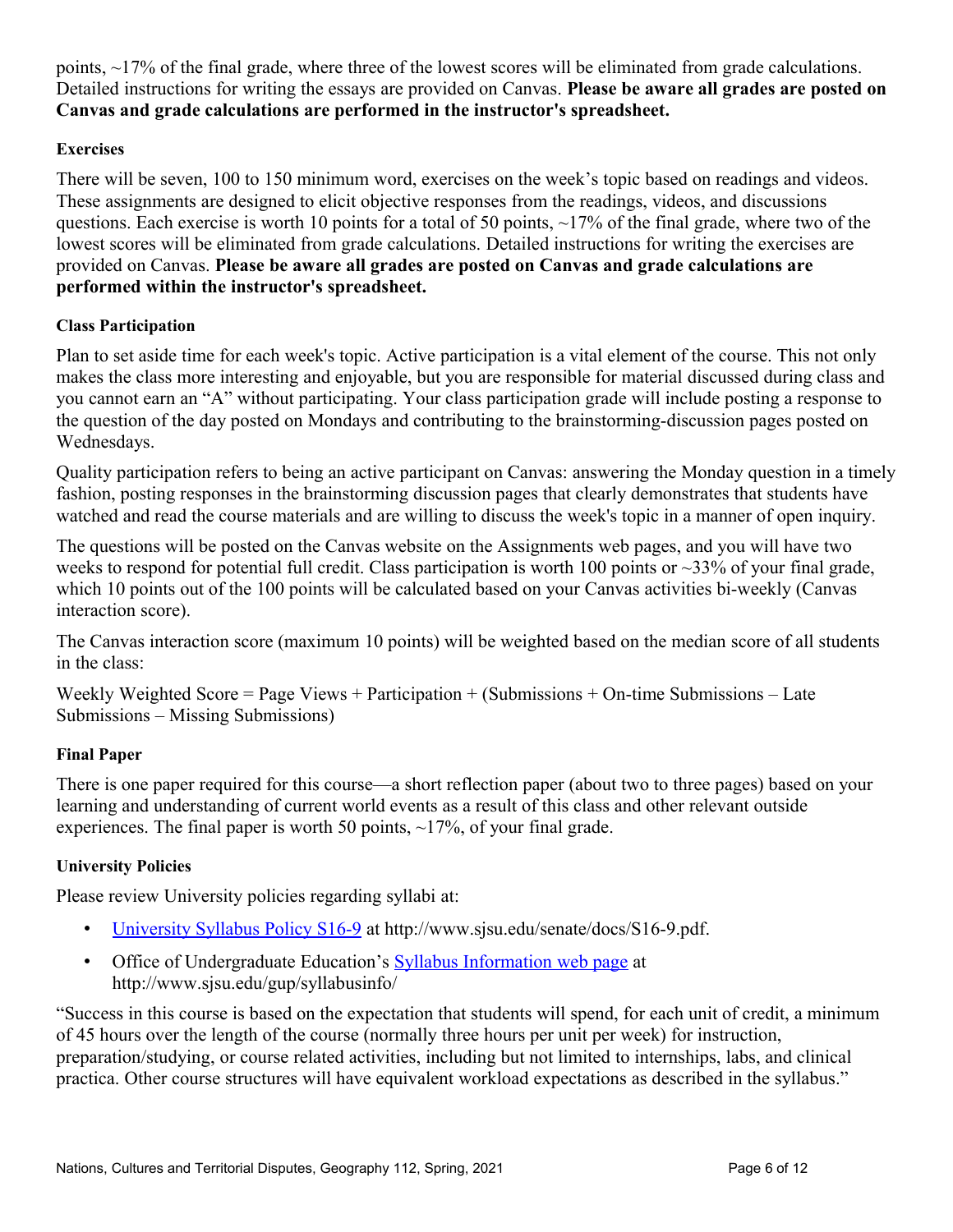points, ~17% of the final grade, where three of the lowest scores will be eliminated from grade calculations. Detailed instructions for writing the essays are provided on Canvas. **Please be aware all grades are posted on Canvas and grade calculations are performed in the instructor's spreadsheet.**

# **Exercises**

There will be seven, 100 to 150 minimum word, exercises on the week's topic based on readings and videos. These assignments are designed to elicit objective responses from the readings, videos, and discussions questions. Each exercise is worth 10 points for a total of 50 points,  $\sim$ 17% of the final grade, where two of the lowest scores will be eliminated from grade calculations. Detailed instructions for writing the exercises are provided on Canvas. **Please be aware all grades are posted on Canvas and grade calculations are performed within the instructor's spreadsheet.**

# **Class Participation**

Plan to set aside time for each week's topic. Active participation is a vital element of the course. This not only makes the class more interesting and enjoyable, but you are responsible for material discussed during class and you cannot earn an "A" without participating. Your class participation grade will include posting a response to the question of the day posted on Mondays and contributing to the brainstorming-discussion pages posted on Wednesdays.

Quality participation refers to being an active participant on Canvas: answering the Monday question in a timely fashion, posting responses in the brainstorming discussion pages that clearly demonstrates that students have watched and read the course materials and are willing to discuss the week's topic in a manner of open inquiry.

The questions will be posted on the Canvas website on the Assignments web pages, and you will have two weeks to respond for potential full credit. Class participation is worth 100 points or  $\sim$ 33% of your final grade, which 10 points out of the 100 points will be calculated based on your Canvas activities bi-weekly (Canvas interaction score).

The Canvas interaction score (maximum 10 points) will be weighted based on the median score of all students in the class:

Weekly Weighted Score = Page Views + Participation + (Submissions + On-time Submissions – Late Submissions ‒ Missing Submissions)

# **Final Paper**

There is one paper required for this course—a short reflection paper (about two to three pages) based on your learning and understanding of current world events as a result of this class and other relevant outside experiences. The final paper is worth 50 points,  $\sim$ 17%, of your final grade.

# **University Policies**

Please review University policies regarding syllabi at:

- [University Syllabus Policy S16-9](http://www.sjsu.edu/senate/docs/S16-9.pdf) at http://www.sjsu.edu/senate/docs/S16-9.pdf.
- Office of Undergraduate Education's [Syllabus Information web page](http://www.sjsu.edu/gup/syllabusinfo/) at http://www.sjsu.edu/gup/syllabusinfo/

"Success in this course is based on the expectation that students will spend, for each unit of credit, a minimum of 45 hours over the length of the course (normally three hours per unit per week) for instruction, preparation/studying, or course related activities, including but not limited to internships, labs, and clinical practica. Other course structures will have equivalent workload expectations as described in the syllabus."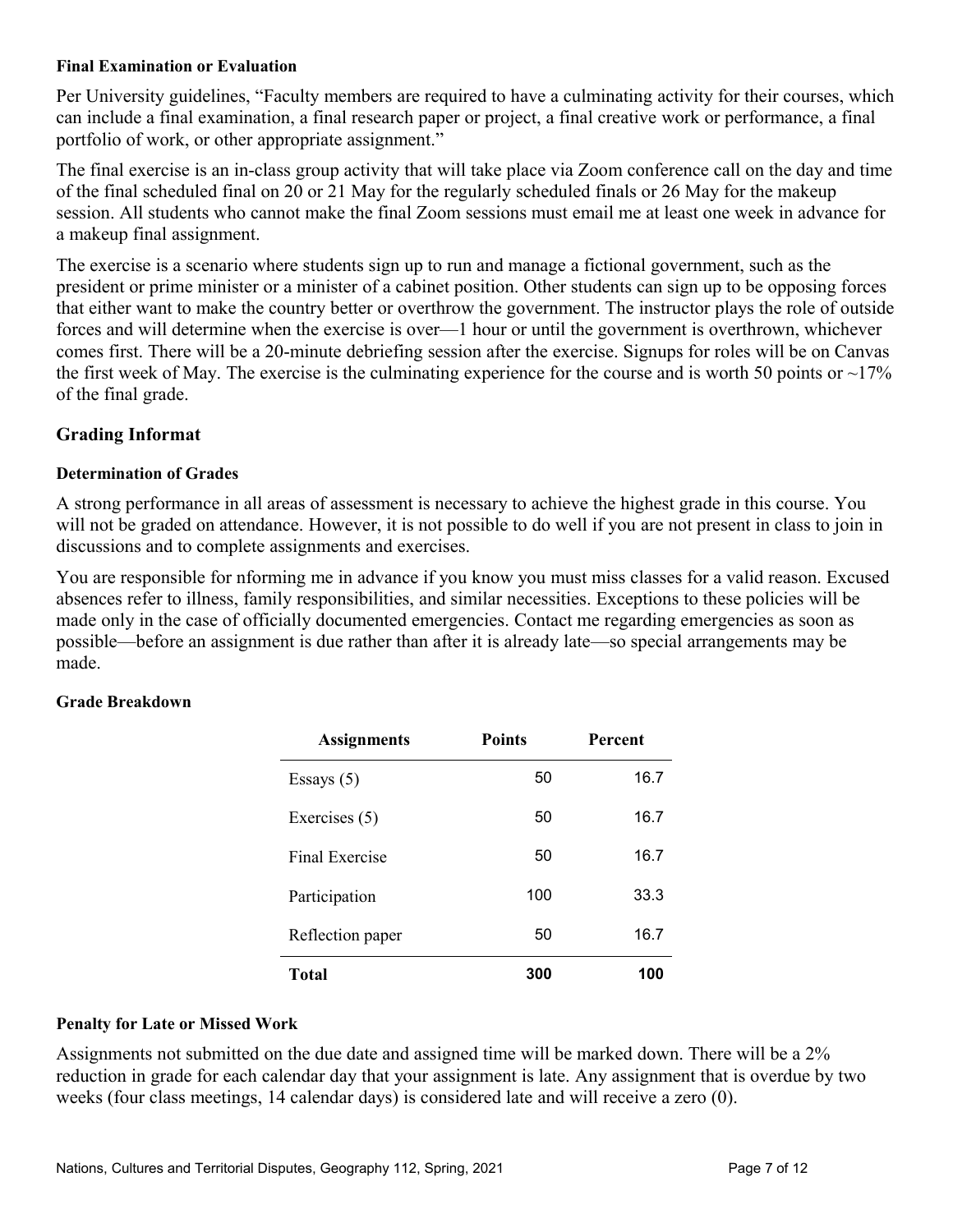#### **Final Examination or Evaluation**

Per University guidelines, "Faculty members are required to have a culminating activity for their courses, which can include a final examination, a final research paper or project, a final creative work or performance, a final portfolio of work, or other appropriate assignment."

The final exercise is an in-class group activity that will take place via Zoom conference call on the day and time of the final scheduled final on 20 or 21 May for the regularly scheduled finals or 26 May for the makeup session. All students who cannot make the final Zoom sessions must email me at least one week in advance for a makeup final assignment.

The exercise is a scenario where students sign up to run and manage a fictional government, such as the president or prime minister or a minister of a cabinet position. Other students can sign up to be opposing forces that either want to make the country better or overthrow the government. The instructor plays the role of outside forces and will determine when the exercise is over—1 hour or until the government is overthrown, whichever comes first. There will be a 20-minute debriefing session after the exercise. Signups for roles will be on Canvas the first week of May. The exercise is the culminating experience for the course and is worth 50 points or  $\sim$ 17% of the final grade.

# **Grading Informat**

#### **Determination of Grades**

A strong performance in all areas of assessment is necessary to achieve the highest grade in this course. You will not be graded on attendance. However, it is not possible to do well if you are not present in class to join in discussions and to complete assignments and exercises.

You are responsible for nforming me in advance if you know you must miss classes for a valid reason. Excused absences refer to illness, family responsibilities, and similar necessities. Exceptions to these policies will be made only in the case of officially documented emergencies. Contact me regarding emergencies as soon as possible—before an assignment is due rather than after it is already late—so special arrangements may be made.

## **Grade Breakdown**

| <b>Assignments</b> | <b>Points</b> | <b>Percent</b> |
|--------------------|---------------|----------------|
| Essays $(5)$       | 50            | 16.7           |
| Exercises (5)      | 50            | 16.7           |
| Final Exercise     | 50            | 16.7           |
| Participation      | 100           | 33.3           |
| Reflection paper   | 50            | 16.7           |
| <b>Total</b>       | 300           | 100            |

#### **Penalty for Late or Missed Work**

Assignments not submitted on the due date and assigned time will be marked down. There will be a 2% reduction in grade for each calendar day that your assignment is late. Any assignment that is overdue by two weeks (four class meetings, 14 calendar days) is considered late and will receive a zero (0).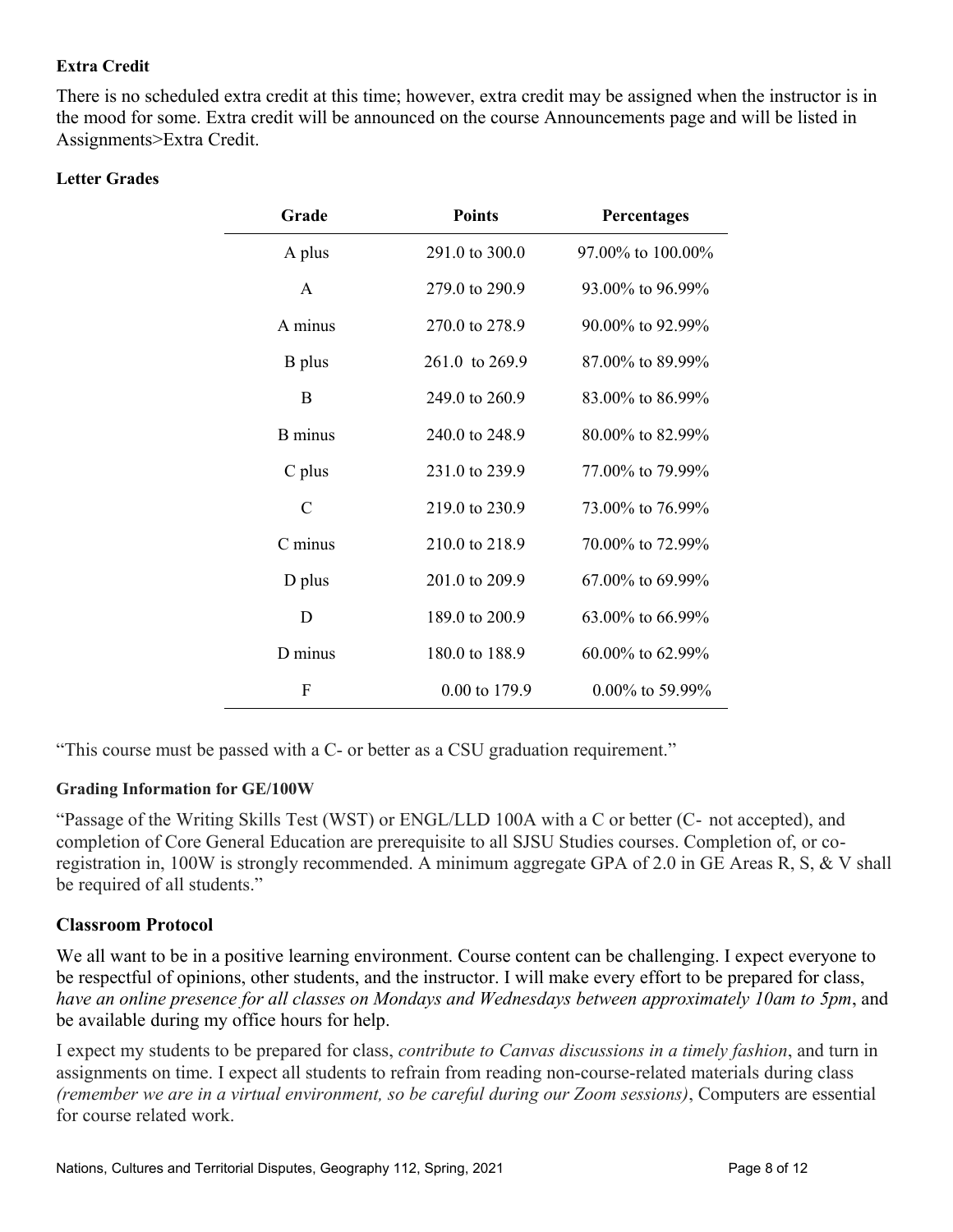## **Extra Credit**

There is no scheduled extra credit at this time; however, extra credit may be assigned when the instructor is in the mood for some. Extra credit will be announced on the course Announcements page and will be listed in Assignments>Extra Credit.

#### **Letter Grades**

| Grade          | <b>Points</b>  | Percentages            |
|----------------|----------------|------------------------|
| A plus         | 291.0 to 300.0 | 97.00% to 100.00%      |
| A              | 279.0 to 290.9 | 93.00% to 96.99%       |
| A minus        | 270.0 to 278.9 | $90.00\%$ to $92.99\%$ |
| <b>B</b> plus  | 261.0 to 269.9 | 87.00% to 89.99%       |
| B              | 249.0 to 260.9 | 83.00% to 86.99%       |
| <b>B</b> minus | 240.0 to 248.9 | 80.00% to 82.99%       |
| $C$ plus       | 231.0 to 239.9 | 77.00% to 79.99%       |
| $\mathcal{C}$  | 219.0 to 230.9 | 73.00% to 76.99%       |
| C minus        | 210.0 to 218.9 | 70.00% to 72.99%       |
| D plus         | 201.0 to 209.9 | $67.00\%$ to $69.99\%$ |
| D              | 189.0 to 200.9 | $63.00\%$ to $66.99\%$ |
| D minus        | 180.0 to 188.9 | $60.00\%$ to $62.99\%$ |
| F              | 0.00 to 179.9  | $0.00\%$ to 59.99%     |

"This course must be passed with a C- or better as a CSU graduation requirement."

## **Grading Information for GE/100W**

"Passage of the Writing Skills Test (WST) or ENGL/LLD 100A with a C or better (C‐ not accepted), and completion of Core General Education are prerequisite to all SJSU Studies courses. Completion of, or coregistration in, 100W is strongly recommended. A minimum aggregate GPA of 2.0 in GE Areas R, S, & V shall be required of all students."

## **Classroom Protocol**

We all want to be in a positive learning environment. Course content can be challenging. I expect everyone to be respectful of opinions, other students, and the instructor. I will make every effort to be prepared for class, *have an online presence for all classes on Mondays and Wednesdays between approximately 10am to 5pm*, and be available during my office hours for help.

I expect my students to be prepared for class, *contribute to Canvas discussions in a timely fashion*, and turn in assignments on time. I expect all students to refrain from reading non-course-related materials during class *(remember we are in a virtual environment, so be careful during our Zoom sessions)*, Computers are essential for course related work.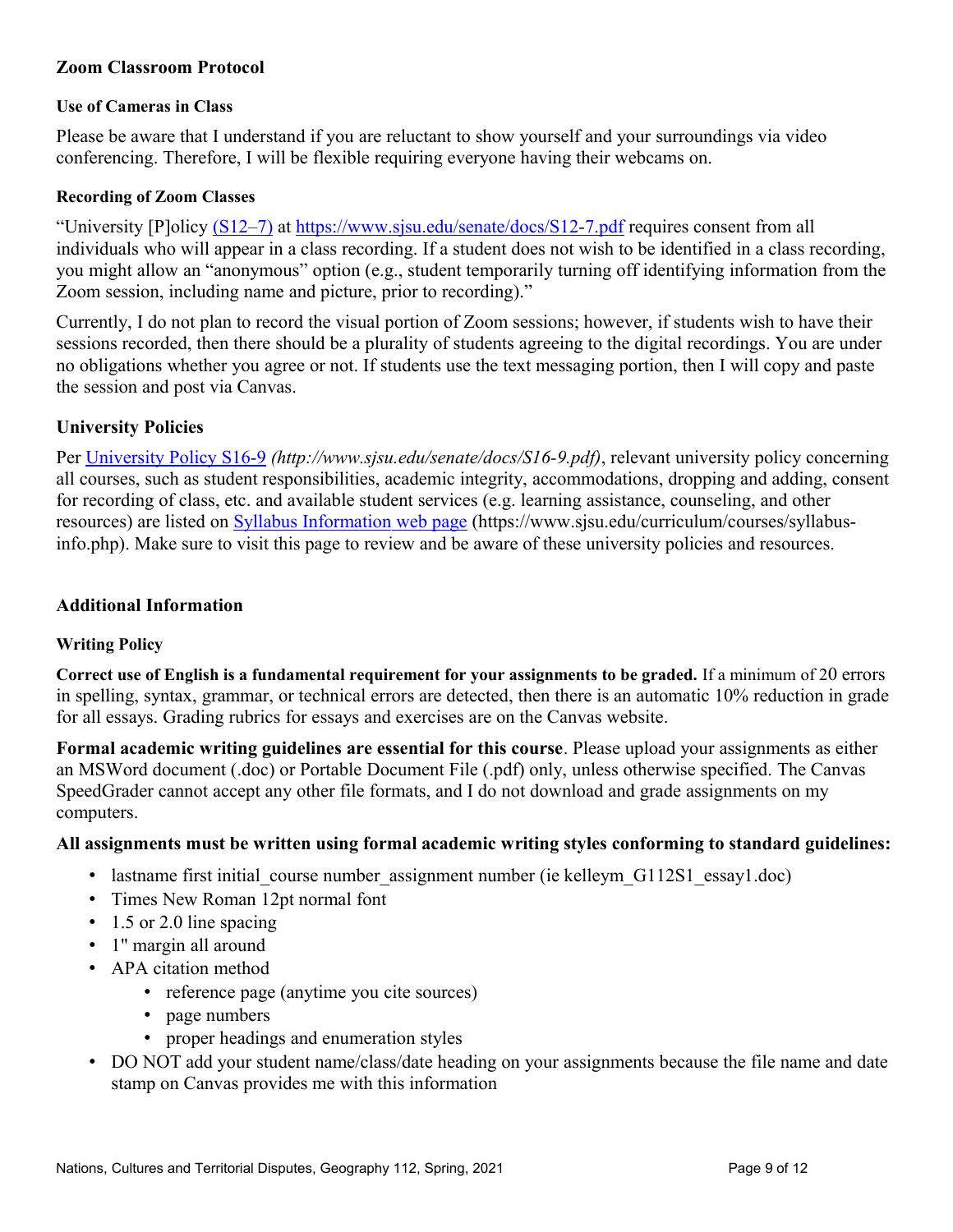# **Zoom Classroom Protocol**

#### **Use of Cameras in Class**

Please be aware that I understand if you are reluctant to show yourself and your surroundings via video conferencing. Therefore, I will be flexible requiring everyone having their webcams on.

#### **Recording of Zoom Classes**

"University [P]olicy (S12–7) at<https://www.sjsu.edu/senate/docs/S12-7.pdf>requires consent from all individuals who will appear in a class recording. If a student does not wish to be identified in a class recording, you might allow an "anonymous" option (e.g., student temporarily turning off identifying information from the Zoom session, including name and picture, prior to recording)."

Currently, I do not plan to record the visual portion of Zoom sessions; however, if students wish to have their sessions recorded, then there should be a plurality of students agreeing to the digital recordings. You are under no obligations whether you agree or not. If students use the text messaging portion, then I will copy and paste the session and post via Canvas.

## **University Policies**

Per [University Policy S16-9](http://www.sjsu.edu/senate/docs/S16-9.pdf) *(http://www.sjsu.edu/senate/docs/S16-9.pdf)*, relevant university policy concerning all courses, such as student responsibilities, academic integrity, accommodations, dropping and adding, consent for recording of class, etc. and available student services (e.g. learning assistance, counseling, and other resources) are listed on [Syllabus Information web page](https://www.sjsu.edu/curriculum/courses/syllabus-info.php) (https://www.sjsu.edu/curriculum/courses/syllabusinfo.php). Make sure to visit this page to review and be aware of these university policies and resources.

#### **Additional Information**

## **Writing Policy**

**Correct use of English is a fundamental requirement for your assignments to be graded.** If a minimum of 20 errors in spelling, syntax, grammar, or technical errors are detected, then there is an automatic 10% reduction in grade for all essays. Grading rubrics for essays and exercises are on the Canvas website.

**Formal academic writing guidelines are essential for this course**. Please upload your assignments as either an MSWord document (.doc) or Portable Document File (.pdf) only, unless otherwise specified. The Canvas SpeedGrader cannot accept any other file formats, and I do not download and grade assignments on my computers.

## **All assignments must be written using formal academic writing styles conforming to standard guidelines:**

- lastname first initial course number assignment number (ie kelleym G112S1 essay1.doc)
- Times New Roman 12pt normal font
- 1.5 or 2.0 line spacing
- 1" margin all around
- APA citation method
	- reference page (anytime you cite sources)
	- page numbers
	- proper headings and enumeration styles
- DO NOT add your student name/class/date heading on your assignments because the file name and date stamp on Canvas provides me with this information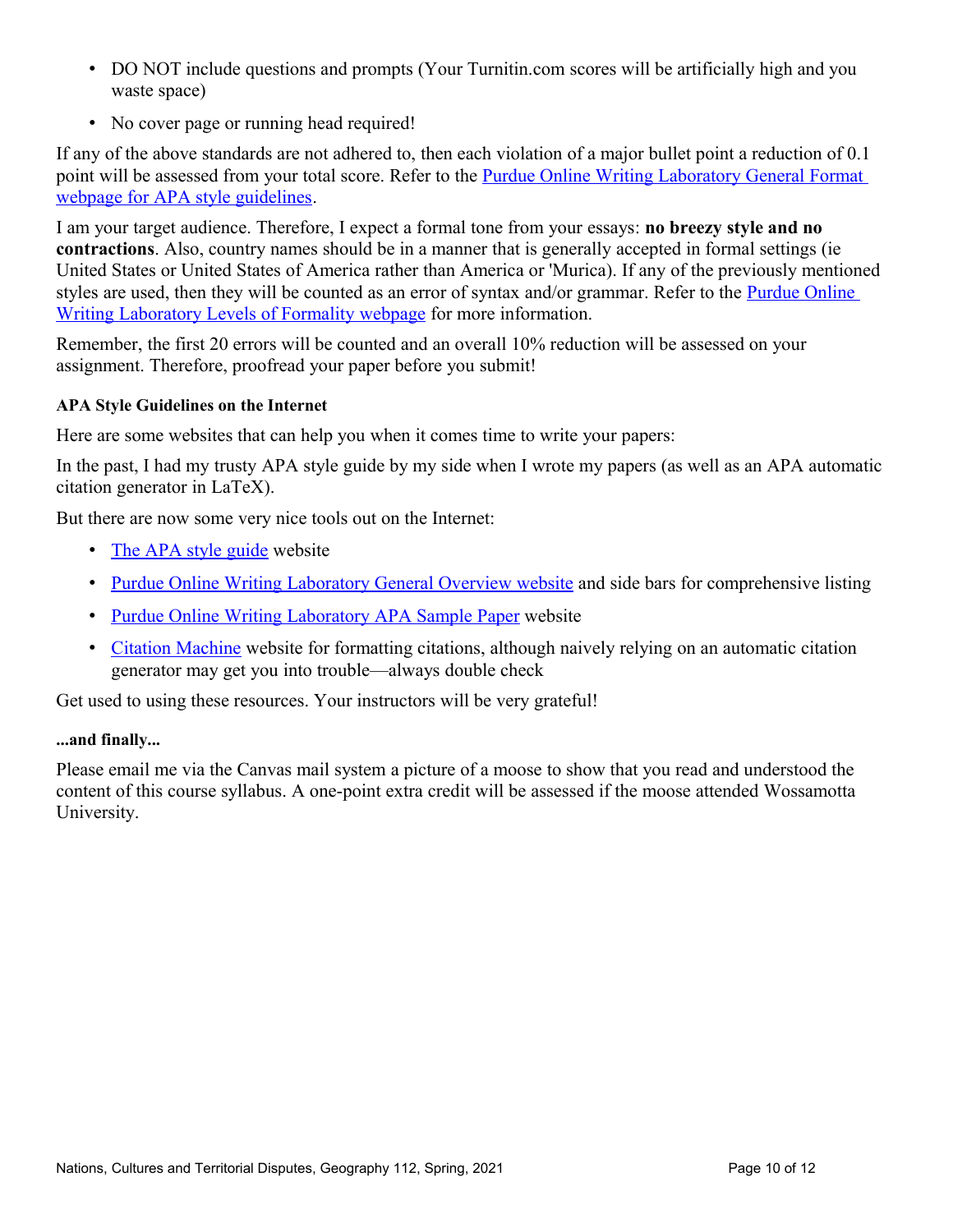- DO NOT include questions and prompts (Your Turnitin.com scores will be artificially high and you waste space)
- No cover page or running head required!

If any of the above standards are not adhered to, then each violation of a major bullet point a reduction of 0.1 point will be assessed from your total score. Refer to the Purdue Online Writing Laboratory General Format [webpage for APA style guidelines.](https://owl.purdue.edu/owl/research_and_citation/apa_style/apa_formatting_and_style_guide/general_format.html)

I am your target audience. Therefore, I expect a formal tone from your essays: **no breezy style and no contractions**. Also, country names should be in a manner that is generally accepted in formal settings (ie United States or United States of America rather than America or 'Murica). If any of the previously mentioned styles are used, then they will be counted as an error of syntax and/or grammar. Refer to the **Purdue Online** [Writing Laboratory Levels of Formality webpage](https://owl.purdue.edu/owl/general_writing/academic_writing/using_appropriate_language/levels_of_formality.html) for more information.

Remember, the first 20 errors will be counted and an overall 10% reduction will be assessed on your assignment. Therefore, proofread your paper before you submit!

# **APA Style Guidelines on the Internet**

Here are some websites that can help you when it comes time to write your papers:

In the past, I had my trusty APA style guide by my side when I wrote my papers (as well as an APA automatic citation generator in LaTeX).

But there are now some very nice tools out on the Internet:

- [The APA style guide](http://www.apastyle.org/) website
- [Purdue Online Writing Laboratory General Overview website](https://owl.purdue.edu/owl/research_and_citation/apa_style/apa_formatting_and_style_guide/general_format.html) and side bars for comprehensive listing
- [Purdue Online Writing Laboratory APA Sample Paper](https://owl.purdue.edu/owl/research_and_citation/apa_style/apa_formatting_and_style_guide/apa_sample_paper.html) website
- [Citation Machine](http://www.citationmachine.net/apa) website for formatting citations, although naively relying on an automatic citation generator may get you into trouble—always double check

Get used to using these resources. Your instructors will be very grateful!

## **...and finally...**

Please email me via the Canvas mail system a picture of a moose to show that you read and understood the content of this course syllabus. A one-point extra credit will be assessed if the moose attended Wossamotta University.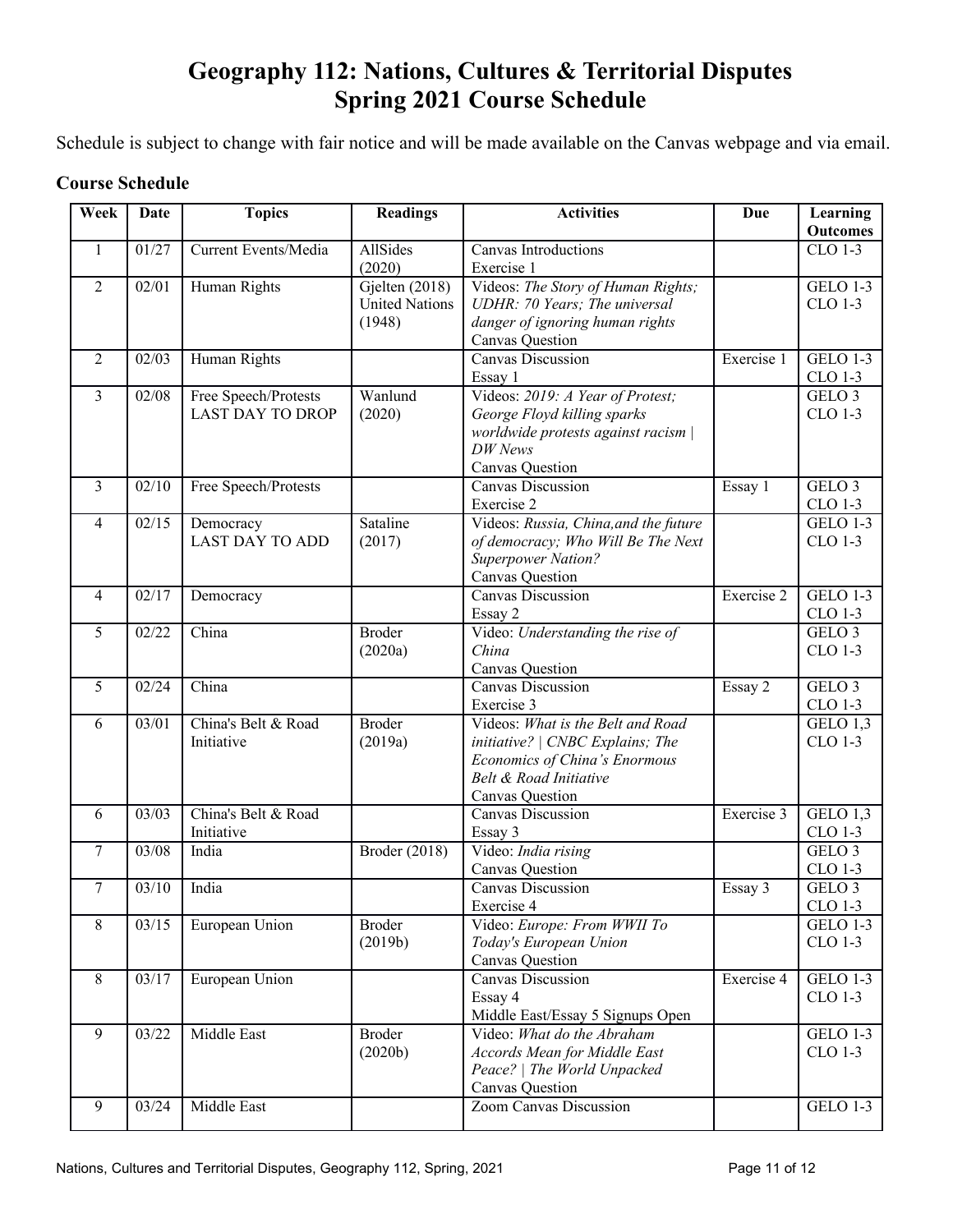# **Geography 112: Nations, Cultures & Territorial Disputes Spring 2021 Course Schedule**

Schedule is subject to change with fair notice and will be made available on the Canvas webpage and via email.

# **Course Schedule**

| Week           | Date  | <b>Topics</b>               | <b>Readings</b>          | <b>Activities</b>                                | Due        | Learning          |
|----------------|-------|-----------------------------|--------------------------|--------------------------------------------------|------------|-------------------|
|                |       |                             |                          |                                                  |            | <b>Outcomes</b>   |
| $\mathbf{1}$   | 01/27 | <b>Current Events/Media</b> | <b>AllSides</b>          | Canvas Introductions                             |            | <b>CLO 1-3</b>    |
| $\overline{2}$ | 02/01 |                             | (2020)<br>Gjelten (2018) | Exercise 1<br>Videos: The Story of Human Rights; |            | <b>GELO 1-3</b>   |
|                |       | Human Rights                | <b>United Nations</b>    | UDHR: 70 Years; The universal                    |            | CLO 1-3           |
|                |       |                             | (1948)                   | danger of ignoring human rights                  |            |                   |
|                |       |                             |                          | Canvas Question                                  |            |                   |
| $\overline{2}$ | 02/03 | Human Rights                |                          | <b>Canvas Discussion</b>                         | Exercise 1 | <b>GELO 1-3</b>   |
|                |       |                             |                          | Essay 1                                          |            | CLO 1-3           |
| $\mathfrak{Z}$ | 02/08 | Free Speech/Protests        | Wanlund                  | Videos: 2019: A Year of Protest;                 |            | GELO <sub>3</sub> |
|                |       | <b>LAST DAY TO DROP</b>     | (2020)                   | George Floyd killing sparks                      |            | <b>CLO 1-3</b>    |
|                |       |                             |                          | worldwide protests against racism                |            |                   |
|                |       |                             |                          | DW News                                          |            |                   |
|                |       |                             |                          | Canvas Question                                  |            |                   |
| 3              | 02/10 | Free Speech/Protests        |                          | <b>Canvas Discussion</b>                         | Essay 1    | GELO <sub>3</sub> |
|                |       |                             |                          | Exercise 2                                       |            | CLO 1-3           |
| 4              | 02/15 | Democracy                   | Sataline                 | Videos: Russia, China, and the future            |            | <b>GELO 1-3</b>   |
|                |       | <b>LAST DAY TO ADD</b>      | (2017)                   | of democracy; Who Will Be The Next               |            | <b>CLO 1-3</b>    |
|                |       |                             |                          | <b>Superpower Nation?</b>                        |            |                   |
|                |       |                             |                          | Canvas Question                                  |            |                   |
| $\overline{4}$ | 02/17 | Democracy                   |                          | Canvas Discussion                                | Exercise 2 | <b>GELO 1-3</b>   |
|                |       |                             |                          | Essay 2                                          |            | CLO 1-3           |
| 5              | 02/22 | China                       | <b>Broder</b>            | Video: Understanding the rise of                 |            | GELO <sub>3</sub> |
|                |       |                             | (2020a)                  | China                                            |            | CLO 1-3           |
| 5              | 02/24 | China                       |                          | Canvas Question<br><b>Canvas Discussion</b>      | Essay 2    | GELO <sub>3</sub> |
|                |       |                             |                          | Exercise 3                                       |            | CLO 1-3           |
| 6              | 03/01 | China's Belt & Road         | <b>Broder</b>            | Videos: What is the Belt and Road                |            | GELO 1,3          |
|                |       | Initiative                  | (2019a)                  | initiative?   CNBC Explains; The                 |            | <b>CLO 1-3</b>    |
|                |       |                             |                          | Economics of China's Enormous                    |            |                   |
|                |       |                             |                          | Belt & Road Initiative                           |            |                   |
|                |       |                             |                          | Canvas Question                                  |            |                   |
| 6              | 03/03 | China's Belt & Road         |                          | <b>Canvas Discussion</b>                         | Exercise 3 | GELO 1,3          |
|                |       | Initiative                  |                          | Essay 3                                          |            | CLO 1-3           |
| 7              | 03/08 | India                       | Broder (2018)            | Video: India rising                              |            | GELO <sub>3</sub> |
|                |       |                             |                          | Canvas Question                                  |            | CLO 1-3           |
| $\tau$         | 03/10 | India                       |                          | Canvas Discussion                                | Essay 3    | GELO <sub>3</sub> |
|                |       |                             |                          | Exercise 4                                       |            | CLO 1-3           |
| 8              | 03/15 | European Union              | <b>Broder</b>            | Video: Europe: From WWII To                      |            | <b>GELO 1-3</b>   |
|                |       |                             | (2019b)                  | Today's European Union                           |            | <b>CLO 1-3</b>    |
|                |       |                             |                          | Canvas Question                                  |            |                   |
| 8              | 03/17 | European Union              |                          | Canvas Discussion                                | Exercise 4 | <b>GELO 1-3</b>   |
|                |       |                             |                          | Essay 4<br>Middle East/Essay 5 Signups Open      |            | CLO 1-3           |
| 9              | 03/22 | Middle East                 | <b>Broder</b>            | Video: What do the Abraham                       |            | <b>GELO 1-3</b>   |
|                |       |                             | (2020b)                  | <b>Accords Mean for Middle East</b>              |            | CLO 1-3           |
|                |       |                             |                          | Peace?   The World Unpacked                      |            |                   |
|                |       |                             |                          | Canvas Question                                  |            |                   |
| 9              | 03/24 | Middle East                 |                          | Zoom Canvas Discussion                           |            | <b>GELO 1-3</b>   |
|                |       |                             |                          |                                                  |            |                   |